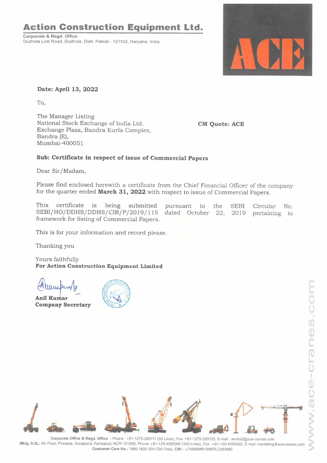## **Action Construction Equipment Ltd.**

**Corporate** & **Regd. Office**  Dudhola Link Road, Dudhola, Distt. Palwal - 121102, Haryana, India



**Date: April 13, 2022** 

To,

The Manager Listing National Stock Exchange of India Ltd. Exchange Plaza, Bandra Kurla Complex, Bandra (E), Mumbai-400051

**CM Quote: ACE** 

## **Sub: Certificate in respect of issue of Commercial Papers**

Dear Sir/Madam,

Please find enclosed herewith a certificate from the Chief Financial Officer of the company for the quarter ended **March 31, 2022** with respect to issue of Commercial Papers.

This certificate is being submitted This ceruncate is being submitted pursuant to the SEBI<br>SEBI/HO/DDHS/DDHS/CIR/P/2019/115 dated October 22, 2019 framework for listing of Commercial Papers. pursuant to the SEBI Circular No. pertaining to

This is for your information and record please.

Thanking you

Yours faithfully **For Action Construction Equipment Limited** 

ars faithfully<br>• **Action Con<br>• المسلمان**<br>• **Kumar**<br>• **Kumar**<br>• **Action** 

**A** ~ **ni l Kumar**   $\frac{2}{1}$ **Company Secretary** 





**Corporate Office** & **Regd. Office :** Phone: +91-1275-280111 (50 Lines), Fax :+91-1275-280133, E-mail: works2@ace-cranes.com **Mktg. H.Q.:** 4th Floor, Pinnacle, Surajkund, Faridabad, NCR-121009, Phone: +91-129·4550000 (100 Lines), Fax : +91-129-4550022, E-mail: marketing@ace-cranes.com **Customer Care No.:** 1800 1800 004 (Toll Free), **CIN:** L74899HR1995PLC053860